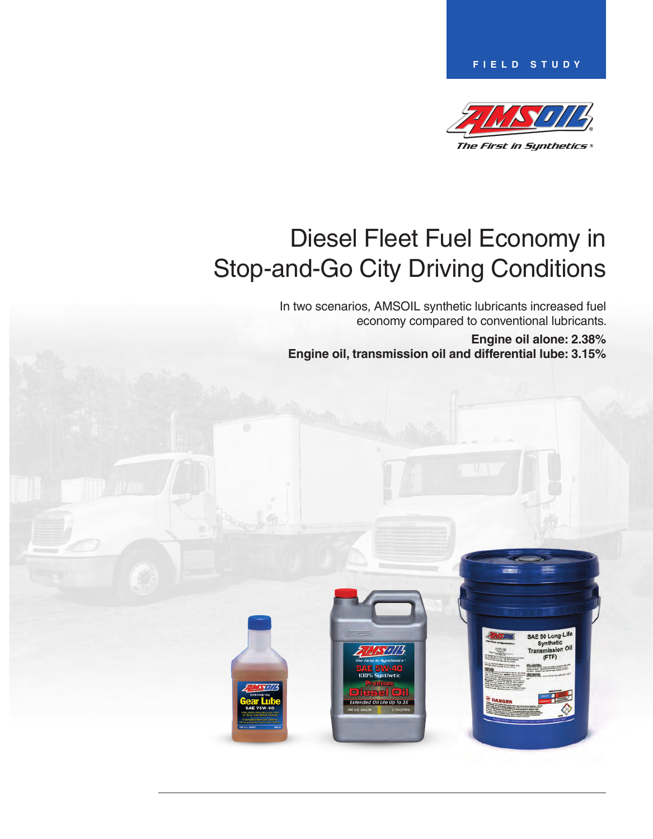**Field Study**



SAE 50 Long-Life Synthetic Synthetic<br>Transmission Oil  $($ FTF)

# Diesel Fleet Fuel Economy in Stop-and-Go City Driving Conditions

In two scenarios, AMSOIL synthetic lubricants increased fuel economy compared to conventional lubricants.

**Engine oil alone: 2.38% Engine oil, transmission oil and differential lube: 3.15%**

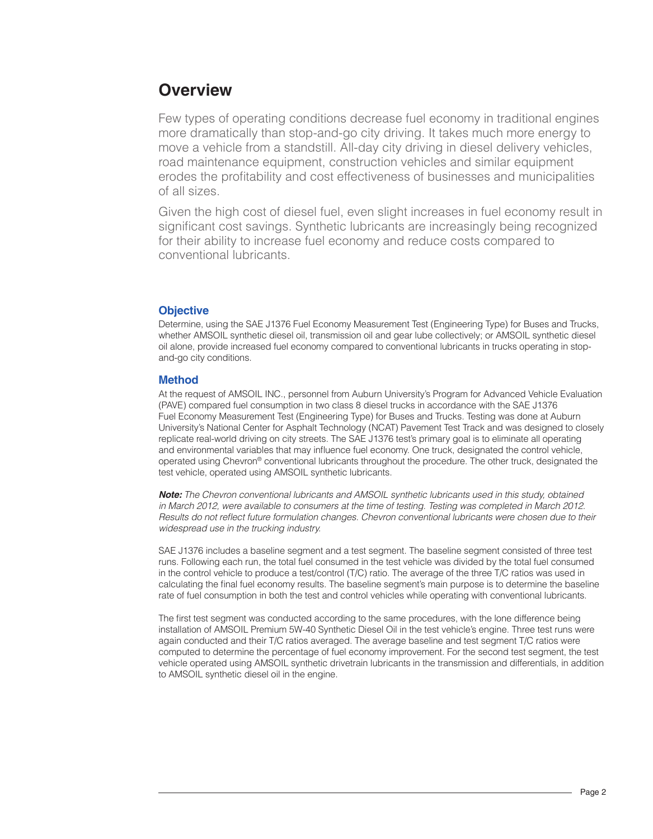# **Overview**

Few types of operating conditions decrease fuel economy in traditional engines more dramatically than stop-and-go city driving. It takes much more energy to move a vehicle from a standstill. All-day city driving in diesel delivery vehicles, road maintenance equipment, construction vehicles and similar equipment erodes the profitability and cost effectiveness of businesses and municipalities of all sizes.

Given the high cost of diesel fuel, even slight increases in fuel economy result in significant cost savings. Synthetic lubricants are increasingly being recognized for their ability to increase fuel economy and reduce costs compared to conventional lubricants.

# **Objective**

Determine, using the SAE J1376 Fuel Economy Measurement Test (Engineering Type) for Buses and Trucks, whether AMSOIL synthetic diesel oil, transmission oil and gear lube collectively; or AMSOIL synthetic diesel oil alone, provide increased fuel economy compared to conventional lubricants in trucks operating in stopand-go city conditions.

## **Method**

At the request of AMSOIL INC., personnel from Auburn University's Program for Advanced Vehicle Evaluation (PAVE) compared fuel consumption in two class 8 diesel trucks in accordance with the SAE J1376 Fuel Economy Measurement Test (Engineering Type) for Buses and Trucks. Testing was done at Auburn University's National Center for Asphalt Technology (NCAT) Pavement Test Track and was designed to closely replicate real-world driving on city streets. The SAE J1376 test's primary goal is to eliminate all operating and environmental variables that may influence fuel economy. One truck, designated the control vehicle, operated using Chevron® conventional lubricants throughout the procedure. The other truck, designated the test vehicle, operated using AMSOIL synthetic lubricants.

*Note: The Chevron conventional lubricants and AMSOIL synthetic lubricants used in this study, obtained in March 2012, were available to consumers at the time of testing. Testing was completed in March 2012.*  Results do not reflect future formulation changes. Chevron conventional lubricants were chosen due to their *widespread use in the trucking industry.* 

SAE J1376 includes a baseline segment and a test segment. The baseline segment consisted of three test runs. Following each run, the total fuel consumed in the test vehicle was divided by the total fuel consumed in the control vehicle to produce a test/control (T/C) ratio. The average of the three T/C ratios was used in calculating the final fuel economy results. The baseline segment's main purpose is to determine the baseline rate of fuel consumption in both the test and control vehicles while operating with conventional lubricants.

The first test segment was conducted according to the same procedures, with the lone difference being installation of AMSOIL Premium 5W-40 Synthetic Diesel Oil in the test vehicle's engine. Three test runs were again conducted and their T/C ratios averaged. The average baseline and test segment T/C ratios were computed to determine the percentage of fuel economy improvement. For the second test segment, the test vehicle operated using AMSOIL synthetic drivetrain lubricants in the transmission and differentials, in addition to AMSOIL synthetic diesel oil in the engine.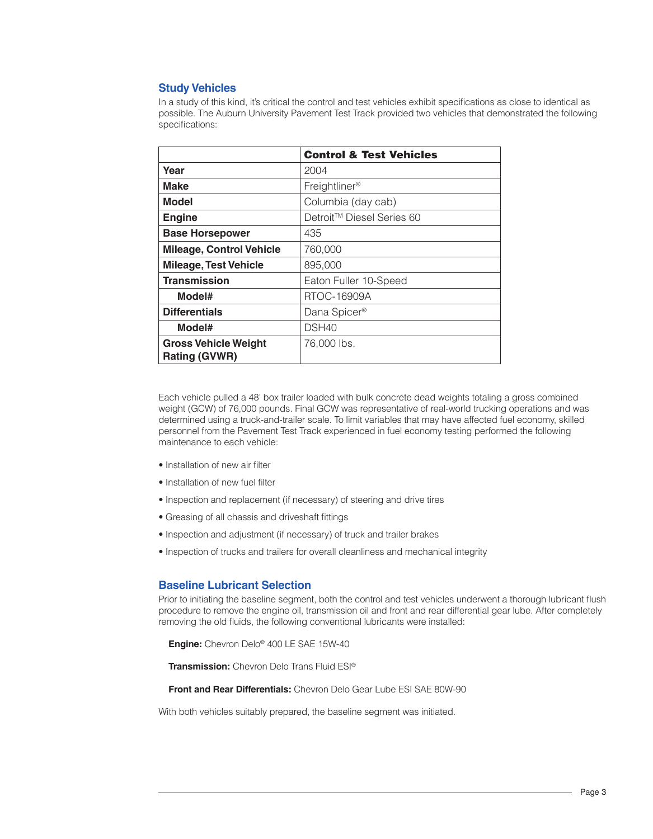## **Study Vehicles**

In a study of this kind, it's critical the control and test vehicles exhibit specifications as close to identical as possible. The Auburn University Pavement Test Track provided two vehicles that demonstrated the following specifications:

|                                                     | <b>Control &amp; Test Vehicles</b> |
|-----------------------------------------------------|------------------------------------|
| Year                                                | 2004                               |
| Make                                                | Freightliner <sup>®</sup>          |
| <b>Model</b>                                        | Columbia (day cab)                 |
| <b>Engine</b>                                       | Detroit™ Diesel Series 60          |
| <b>Base Horsepower</b>                              | 435                                |
| <b>Mileage, Control Vehicle</b>                     | 760,000                            |
| <b>Mileage, Test Vehicle</b>                        | 895,000                            |
| <b>Transmission</b>                                 | Eaton Fuller 10-Speed              |
| Model#                                              | RTOC-16909A                        |
| <b>Differentials</b>                                | Dana Spicer®                       |
| Model#                                              | DSH40                              |
| <b>Gross Vehicle Weight</b><br><b>Rating (GVWR)</b> | 76,000 lbs.                        |

Each vehicle pulled a 48' box trailer loaded with bulk concrete dead weights totaling a gross combined weight (GCW) of 76,000 pounds. Final GCW was representative of real-world trucking operations and was determined using a truck-and-trailer scale. To limit variables that may have affected fuel economy, skilled personnel from the Pavement Test Track experienced in fuel economy testing performed the following maintenance to each vehicle:

- Installation of new air filter
- Installation of new fuel filter
- Inspection and replacement (if necessary) of steering and drive tires
- Greasing of all chassis and driveshaft fittings
- Inspection and adjustment (if necessary) of truck and trailer brakes
- Inspection of trucks and trailers for overall cleanliness and mechanical integrity

#### **Baseline Lubricant Selection**

Prior to initiating the baseline segment, both the control and test vehicles underwent a thorough lubricant flush procedure to remove the engine oil, transmission oil and front and rear differential gear lube. After completely removing the old fluids, the following conventional lubricants were installed:

**Engine:** Chevron Delo® 400 LE SAE 15W-40

**Transmission:** Chevron Delo Trans Fluid ESI®

**Front and Rear Differentials:** Chevron Delo Gear Lube ESI SAE 80W-90

With both vehicles suitably prepared, the baseline segment was initiated.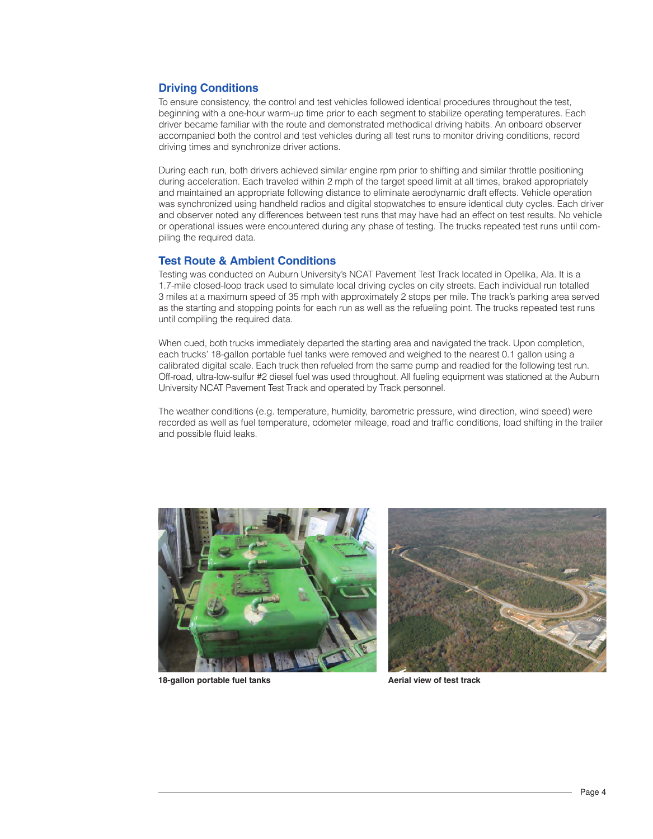## **Driving Conditions**

To ensure consistency, the control and test vehicles followed identical procedures throughout the test, beginning with a one-hour warm-up time prior to each segment to stabilize operating temperatures. Each driver became familiar with the route and demonstrated methodical driving habits. An onboard observer accompanied both the control and test vehicles during all test runs to monitor driving conditions, record driving times and synchronize driver actions.

During each run, both drivers achieved similar engine rpm prior to shifting and similar throttle positioning during acceleration. Each traveled within 2 mph of the target speed limit at all times, braked appropriately and maintained an appropriate following distance to eliminate aerodynamic draft effects. Vehicle operation was synchronized using handheld radios and digital stopwatches to ensure identical duty cycles. Each driver and observer noted any differences between test runs that may have had an effect on test results. No vehicle or operational issues were encountered during any phase of testing. The trucks repeated test runs until compiling the required data.

#### **Test Route & Ambient Conditions**

Testing was conducted on Auburn University's NCAT Pavement Test Track located in Opelika, Ala. It is a 1.7-mile closed-loop track used to simulate local driving cycles on city streets. Each individual run totalled 3 miles at a maximum speed of 35 mph with approximately 2 stops per mile. The track's parking area served as the starting and stopping points for each run as well as the refueling point. The trucks repeated test runs until compiling the required data.

When cued, both trucks immediately departed the starting area and navigated the track. Upon completion, each trucks' 18-gallon portable fuel tanks were removed and weighed to the nearest 0.1 gallon using a calibrated digital scale. Each truck then refueled from the same pump and readied for the following test run. Off-road, ultra-low-sulfur #2 diesel fuel was used throughout. All fueling equipment was stationed at the Auburn University NCAT Pavement Test Track and operated by Track personnel.

The weather conditions (e.g. temperature, humidity, barometric pressure, wind direction, wind speed) were recorded as well as fuel temperature, odometer mileage, road and traffic conditions, load shifting in the trailer and possible fluid leaks.



18-gallon portable fuel tanks **A**erial view of test track

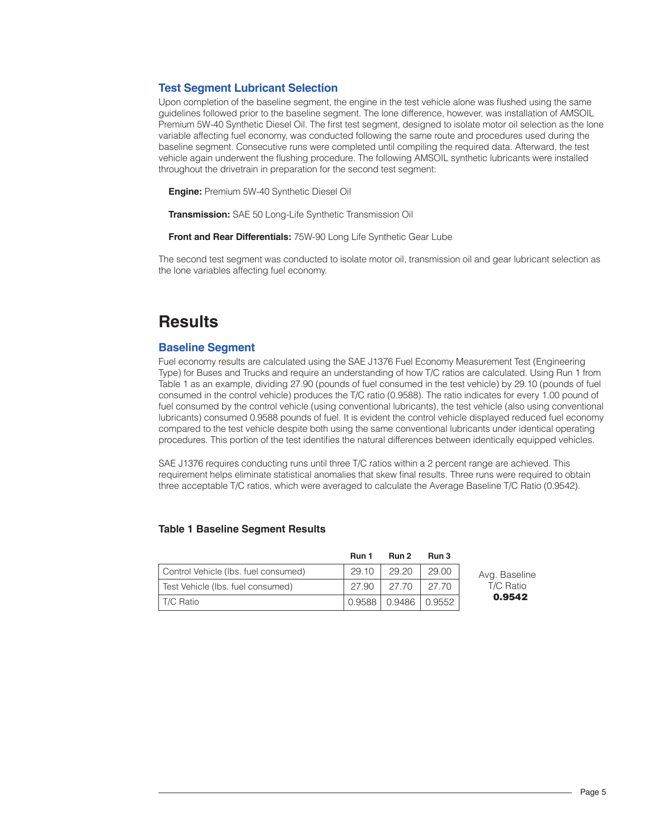## **Test Segment Lubricant Selection**

Upon completion of the baseline segment, the engine in the test vehicle alone was flushed using the same guidelines followed prior to the baseline segment. The lone difference, however, was installation of AMSOIL Premium 5W-40 Synthetic Diesel Oil. The first test segment, designed to isolate motor oil selection as the lone variable affecting fuel economy, was conducted following the same route and procedures used during the baseline segment. Consecutive runs were completed until compiling the required data. Afterward, the test vehicle again underwent the flushing procedure. The following AMSOIL synthetic lubricants were installed throughout the drivetrain in preparation for the second test segment:

**Engine:** Premium 5W-40 Synthetic Diesel Oil

**Transmission:** SAE 50 Long-Life Synthetic Transmission Oil

**Front and Rear Differentials:** 75W-90 Long Life Synthetic Gear Lube

The second test segment was conducted to isolate motor oil, transmission oil and gear lubricant selection as the lone variables affecting fuel economy.

# **Results**

#### **Baseline Segment**

Fuel economy results are calculated using the SAE J1376 Fuel Economy Measurement Test (Engineering Type) for Buses and Trucks and require an understanding of how T/C ratios are calculated. Using Run 1 from Table 1 as an example, dividing 27.90 (pounds of fuel consumed in the test vehicle) by 29.10 (pounds of fuel consumed in the control vehicle) produces the T/C ratio (0.9588). The ratio indicates for every 1.00 pound of fuel consumed by the control vehicle (using conventional lubricants), the test vehicle (also using conventional lubricants) consumed 0.9588 pounds of fuel. It is evident the control vehicle displayed reduced fuel economy compared to the test vehicle despite both using the same conventional lubricants under identical operating procedures. This portion of the test identifies the natural differences between identically equipped vehicles.

SAE J1376 requires conducting runs until three T/C ratios within a 2 percent range are achieved. This requirement helps eliminate statistical anomalies that skew final results. Three runs were required to obtain three acceptable T/C ratios, which were averaged to calculate the Average Baseline T/C Ratio (0.9542).

#### **Table 1 Baseline Segment Results**

|                                      | Run 1 | Run 2                | Run 3 |  |
|--------------------------------------|-------|----------------------|-------|--|
| Control Vehicle (Ibs. fuel consumed) | 29.10 | 29.20                | 29.00 |  |
| Test Vehicle (Ibs. fuel consumed)    | 27.90 | 27.70                | 27.70 |  |
| l T/C Ratio                          |       | 0.9588 0.9486 0.9552 |       |  |

vg. Baseline T/C Ratio 0.9542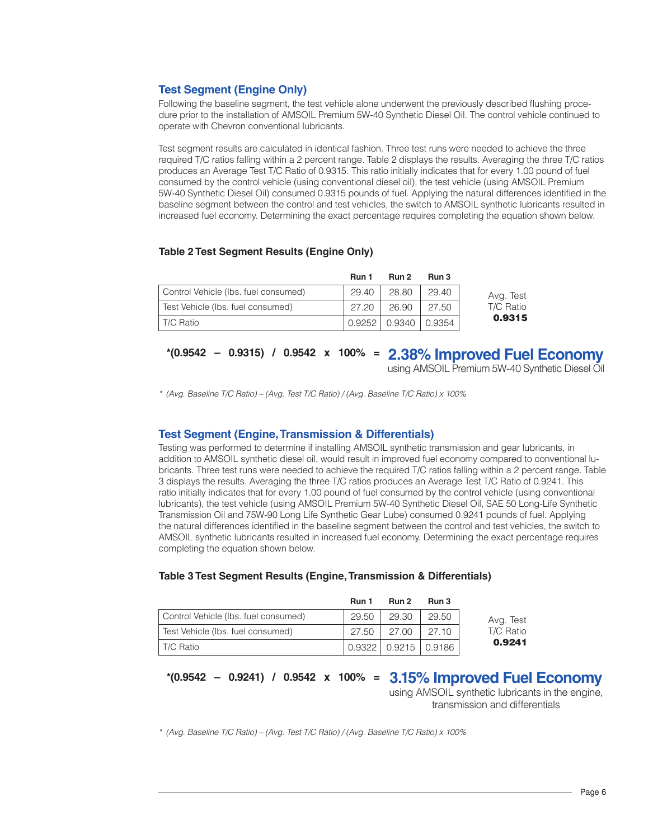# **Test Segment (Engine Only)**

Following the baseline segment, the test vehicle alone underwent the previously described flushing procedure prior to the installation of AMSOIL Premium 5W-40 Synthetic Diesel Oil. The control vehicle continued to operate with Chevron conventional lubricants.

Test segment results are calculated in identical fashion. Three test runs were needed to achieve the three required T/C ratios falling within a 2 percent range. Table 2 displays the results. Averaging the three T/C ratios produces an Average Test T/C Ratio of 0.9315. This ratio initially indicates that for every 1.00 pound of fuel consumed by the control vehicle (using conventional diesel oil), the test vehicle (using AMSOIL Premium 5W-40 Synthetic Diesel Oil) consumed 0.9315 pounds of fuel. Applying the natural differences identified in the baseline segment between the control and test vehicles, the switch to AMSOIL synthetic lubricants resulted in increased fuel economy. Determining the exact percentage requires completing the equation shown below.

#### **Table 2 Test Segment Results (Engine Only)**

|                                      | Run 1      | Run 2  | Run 3  |
|--------------------------------------|------------|--------|--------|
| Control Vehicle (Ibs. fuel consumed) | 29.40      | 28.80  | 29.40  |
| Test Vehicle (Ibs. fuel consumed)    | 27.20      | 26.90  | 27.50  |
| l T/C Ratio                          | $0.9252$ I | 0.9340 | 0.9354 |

# **2.38% Improved Fuel Economy \*(0.9542 – 0.9315) / 0.9542 x 100% =**

using AMSOIL Premium 5W-40 Synthetic Diesel Oil

*\* (Avg. Baseline T/C Ratio) – (Avg. Test T/C Ratio) / (Avg. Baseline T/C Ratio) x 100%*

## **Test Segment (Engine, Transmission & Differentials)**

Testing was performed to determine if installing AMSOIL synthetic transmission and gear lubricants, in addition to AMSOIL synthetic diesel oil, would result in improved fuel economy compared to conventional lubricants. Three test runs were needed to achieve the required T/C ratios falling within a 2 percent range. Table 3 displays the results. Averaging the three T/C ratios produces an Average Test T/C Ratio of 0.9241. This ratio initially indicates that for every 1.00 pound of fuel consumed by the control vehicle (using conventional lubricants), the test vehicle (using AMSOIL Premium 5W-40 Synthetic Diesel Oil, SAE 50 Long-Life Synthetic Transmission Oil and 75W-90 Long Life Synthetic Gear Lube) consumed 0.9241 pounds of fuel. Applying the natural differences identified in the baseline segment between the control and test vehicles, the switch to AMSOIL synthetic lubricants resulted in increased fuel economy. Determining the exact percentage requires completing the equation shown below.

#### **Table 3 Test Segment Results (Engine, Transmission & Differentials)**

|                                      | Run 1 | Run 2                    | Run 3 |
|--------------------------------------|-------|--------------------------|-------|
| Control Vehicle (Ibs. fuel consumed) | 29.50 | 29.30                    | 29.50 |
| Test Vehicle (Ibs. fuel consumed)    | 27.50 | 27.00                    | 27.10 |
| T/C Ratio                            |       | 0.9322   0.9215   0.9186 |       |

# **3.15% Improved Fuel Economy \*(0.9542 – 0.9241) / 0.9542 x 100% =**

using AMSOIL synthetic lubricants in the engine, transmission and differentials

*\* (Avg. Baseline T/C Ratio) – (Avg. Test T/C Ratio) / (Avg. Baseline T/C Ratio) x 100%*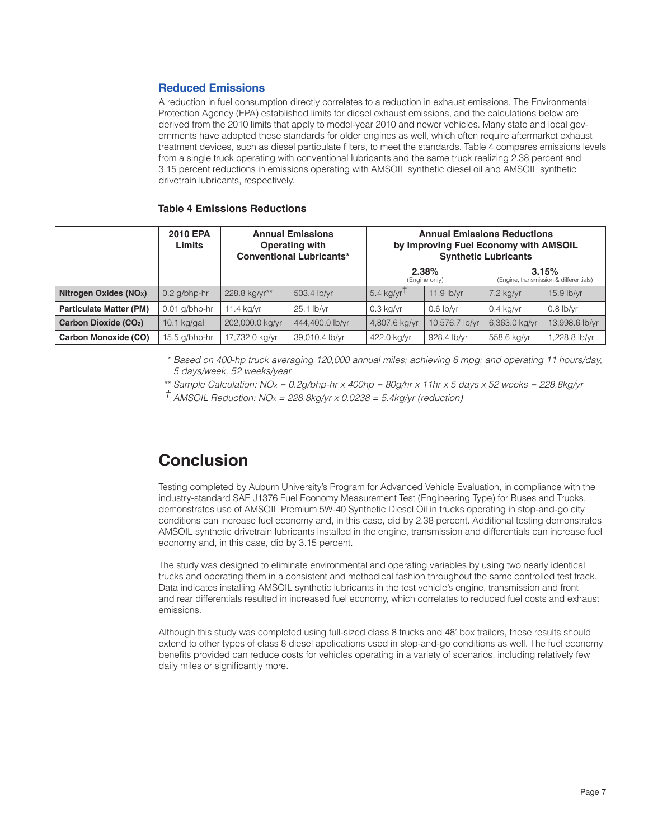## **Reduced Emissions**

A reduction in fuel consumption directly correlates to a reduction in exhaust emissions. The Environmental Protection Agency (EPA) established limits for diesel exhaust emissions, and the calculations below are derived from the 2010 limits that apply to model-year 2010 and newer vehicles. Many state and local governments have adopted these standards for older engines as well, which often require aftermarket exhaust treatment devices, such as diesel particulate filters, to meet the standards. Table 4 compares emissions levels from a single truck operating with conventional lubricants and the same truck realizing 2.38 percent and 3.15 percent reductions in emissions operating with AMSOIL synthetic diesel oil and AMSOIL synthetic drivetrain lubricants, respectively.

#### **Table 4 Emissions Reductions**

|                                    | <b>2010 EPA</b><br>Limits | <b>Annual Emissions</b><br>Operating with<br><b>Conventional Lubricants*</b> |                 |                          | <b>Annual Emissions Reductions</b><br>by Improving Fuel Economy with AMSOIL | <b>Synthetic Lubricants</b>                     |                |
|------------------------------------|---------------------------|------------------------------------------------------------------------------|-----------------|--------------------------|-----------------------------------------------------------------------------|-------------------------------------------------|----------------|
|                                    |                           |                                                                              |                 | 2.38%<br>(Engine only)   |                                                                             | 3.15%<br>(Engine, transmission & differentials) |                |
| Nitrogen Oxides (NO <sub>x</sub> ) | $0.2$ g/bhp-hr            | 228.8 kg/yr**                                                                | 503.4 lb/yr     | $5.4$ kg/yr <sup>1</sup> | $11.9$ lb/yr                                                                | $7.2$ kg/yr                                     | $15.9$ lb/yr   |
| <b>Particulate Matter (PM)</b>     | $0.01$ g/bhp-hr           | $11.4$ kg/yr                                                                 | 25.1 lb/yr      | $0.3$ kg/yr              | $0.6$ lb/yr                                                                 | $0.4$ kg/yr                                     | $0.8$ lb/yr    |
| Carbon Dioxide (CO <sub>2</sub> )  | $10.1$ kg/gal             | 202,000.0 kg/yr                                                              | 444,400.0 lb/yr | 4,807.6 kg/yr            | 10,576.7 lb/yr                                                              | 6,363.0 kg/yr                                   | 13,998.6 lb/yr |
| Carbon Monoxide (CO)               | $15.5$ g/bhp-hr           | 17,732.0 kg/yr                                                               | 39,010.4 lb/yr  | 422.0 kg/yr              | 928.4 lb/yr                                                                 | 558.6 kg/yr                                     | l,228.8 lb/yr  |

*\* Based on 400-hp truck averaging 120,000 annual miles; achieving 6 mpg; and operating 11 hours/day, 5 days/week, 52 weeks/year*

*\*\* Sample Calculation: NOx = 0.2g/bhp-hr x 400hp = 80g/hr x 11hr x 5 days x 52 weeks = 228.8kg/yr*

*† AMSOIL Reduction: NOx = 228.8kg/yr x 0.0238 = 5.4kg/yr (reduction)*

# **Conclusion**

Testing completed by Auburn University's Program for Advanced Vehicle Evaluation, in compliance with the industry-standard SAE J1376 Fuel Economy Measurement Test (Engineering Type) for Buses and Trucks, demonstrates use of AMSOIL Premium 5W-40 Synthetic Diesel Oil in trucks operating in stop-and-go city conditions can increase fuel economy and, in this case, did by 2.38 percent. Additional testing demonstrates AMSOIL synthetic drivetrain lubricants installed in the engine, transmission and differentials can increase fuel economy and, in this case, did by 3.15 percent.

The study was designed to eliminate environmental and operating variables by using two nearly identical trucks and operating them in a consistent and methodical fashion throughout the same controlled test track. Data indicates installing AMSOIL synthetic lubricants in the test vehicle's engine, transmission and front and rear differentials resulted in increased fuel economy, which correlates to reduced fuel costs and exhaust emissions.

Although this study was completed using full-sized class 8 trucks and 48' box trailers, these results should extend to other types of class 8 diesel applications used in stop-and-go conditions as well. The fuel economy benefits provided can reduce costs for vehicles operating in a variety of scenarios, including relatively few daily miles or significantly more.